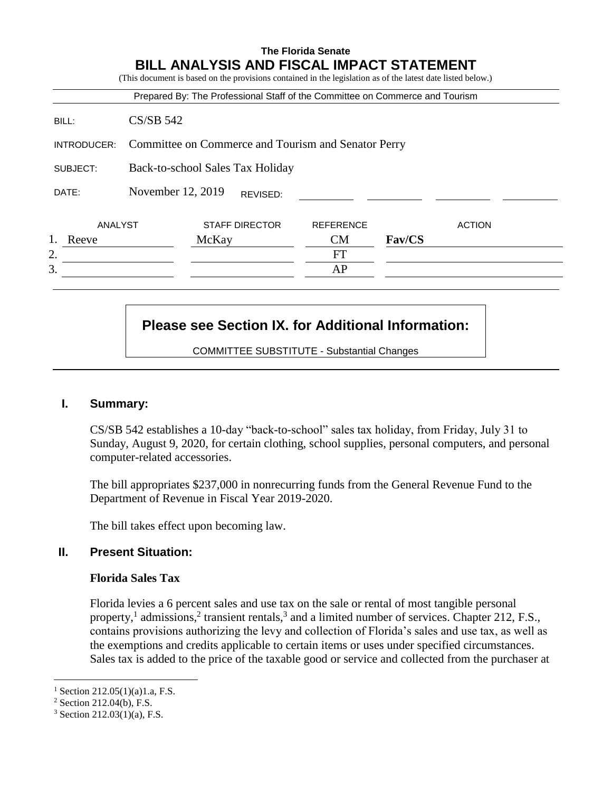|             |                                                     |                                  |                       | Prepared By: The Professional Staff of the Committee on Commerce and Tourism |        |               |
|-------------|-----------------------------------------------------|----------------------------------|-----------------------|------------------------------------------------------------------------------|--------|---------------|
| BILL:       | $CS/SB$ 542                                         |                                  |                       |                                                                              |        |               |
| INTRODUCER: | Committee on Commerce and Tourism and Senator Perry |                                  |                       |                                                                              |        |               |
| SUBJECT:    |                                                     | Back-to-school Sales Tax Holiday |                       |                                                                              |        |               |
| DATE:       |                                                     | November 12, 2019                | REVISED:              |                                                                              |        |               |
| ANALYST     |                                                     |                                  | <b>STAFF DIRECTOR</b> | <b>REFERENCE</b>                                                             |        | <b>ACTION</b> |
| Reeve       |                                                     | McKay                            |                       | <b>CM</b>                                                                    | Fav/CS |               |
| 2.          |                                                     |                                  |                       | FT                                                                           |        |               |
| 3.          |                                                     |                                  |                       | AP                                                                           |        |               |

# **Please see Section IX. for Additional Information:**

COMMITTEE SUBSTITUTE - Substantial Changes

## **I. Summary:**

CS/SB 542 establishes a 10-day "back-to-school" sales tax holiday, from Friday, July 31 to Sunday, August 9, 2020, for certain clothing, school supplies, personal computers, and personal computer-related accessories.

The bill appropriates \$237,000 in nonrecurring funds from the General Revenue Fund to the Department of Revenue in Fiscal Year 2019-2020.

The bill takes effect upon becoming law.

## **II. Present Situation:**

## **Florida Sales Tax**

Florida levies a 6 percent sales and use tax on the sale or rental of most tangible personal property,<sup>1</sup> admissions,<sup>2</sup> transient rentals,<sup>3</sup> and a limited number of services. Chapter 212, F.S., contains provisions authorizing the levy and collection of Florida's sales and use tax, as well as the exemptions and credits applicable to certain items or uses under specified circumstances. Sales tax is added to the price of the taxable good or service and collected from the purchaser at

 $\overline{a}$ 

 $1$  Section 212.05(1)(a)1.a, F.S.

<sup>2</sup> Section 212.04(b), F.S.

 $3$  Section 212.03(1)(a), F.S.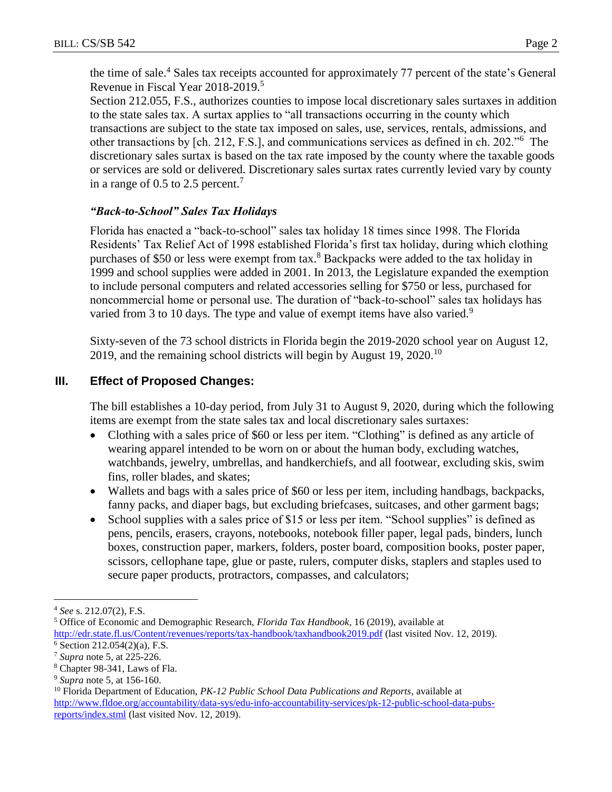the time of sale.<sup>4</sup> Sales tax receipts accounted for approximately 77 percent of the state's General Revenue in Fiscal Year 2018-2019.<sup>5</sup>

Section 212.055, F.S., authorizes counties to impose local discretionary sales surtaxes in addition to the state sales tax. A surtax applies to "all transactions occurring in the county which transactions are subject to the state tax imposed on sales, use, services, rentals, admissions, and other transactions by [ch. 212, F.S.], and communications services as defined in ch. 202."<sup>6</sup> The discretionary sales surtax is based on the tax rate imposed by the county where the taxable goods or services are sold or delivered. Discretionary sales surtax rates currently levied vary by county in a range of 0.5 to 2.5 percent.<sup>7</sup>

## *"Back-to-School" Sales Tax Holidays*

Florida has enacted a "back-to-school" sales tax holiday 18 times since 1998. The Florida Residents' Tax Relief Act of 1998 established Florida's first tax holiday, during which clothing purchases of \$50 or less were exempt from tax.<sup>8</sup> Backpacks were added to the tax holiday in 1999 and school supplies were added in 2001. In 2013, the Legislature expanded the exemption to include personal computers and related accessories selling for \$750 or less, purchased for noncommercial home or personal use. The duration of "back-to-school" sales tax holidays has varied from 3 to 10 days. The type and value of exempt items have also varied.<sup>9</sup>

Sixty-seven of the 73 school districts in Florida begin the 2019-2020 school year on August 12, 2019, and the remaining school districts will begin by August 19, 2020.<sup>10</sup>

# **III. Effect of Proposed Changes:**

The bill establishes a 10-day period, from July 31 to August 9, 2020, during which the following items are exempt from the state sales tax and local discretionary sales surtaxes:

- Clothing with a sales price of \$60 or less per item. "Clothing" is defined as any article of wearing apparel intended to be worn on or about the human body, excluding watches, watchbands, jewelry, umbrellas, and handkerchiefs, and all footwear, excluding skis, swim fins, roller blades, and skates;
- Wallets and bags with a sales price of \$60 or less per item, including handbags, backpacks, fanny packs, and diaper bags, but excluding briefcases, suitcases, and other garment bags;
- School supplies with a sales price of \$15 or less per item. "School supplies" is defined as pens, pencils, erasers, crayons, notebooks, notebook filler paper, legal pads, binders, lunch boxes, construction paper, markers, folders, poster board, composition books, poster paper, scissors, cellophane tape, glue or paste, rulers, computer disks, staplers and staples used to secure paper products, protractors, compasses, and calculators;

 $\overline{a}$ <sup>4</sup> *See* s. 212.07(2), F.S.

<sup>5</sup> Office of Economic and Demographic Research, *Florida Tax Handbook*, 16 (2019), available at <http://edr.state.fl.us/Content/revenues/reports/tax-handbook/taxhandbook2019.pdf> (last visited Nov. 12, 2019).

<sup>6</sup> Section 212.054(2)(a), F.S.

<sup>7</sup> *Supra* note 5, at 225-226.

<sup>8</sup> Chapter 98-341, Laws of Fla.

<sup>9</sup> *Supra* note 5, at 156-160.

<sup>10</sup> Florida Department of Education, *PK-12 Public School Data Publications and Reports*, available at [http://www.fldoe.org/accountability/data-sys/edu-info-accountability-services/pk-12-public-school-data-pubs](http://www.fldoe.org/accountability/data-sys/edu-info-accountability-services/pk-12-public-school-data-pubs-reports/index.stml)[reports/index.stml](http://www.fldoe.org/accountability/data-sys/edu-info-accountability-services/pk-12-public-school-data-pubs-reports/index.stml) (last visited Nov. 12, 2019).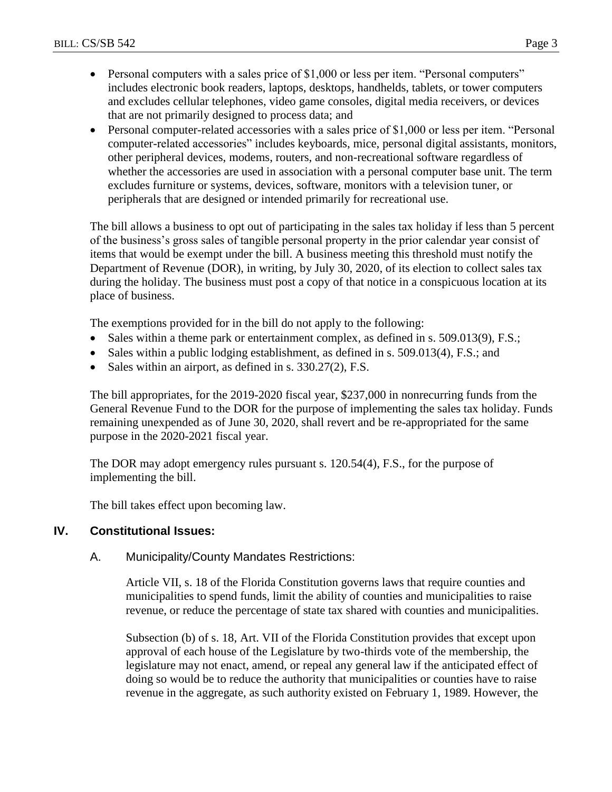- Personal computers with a sales price of \$1,000 or less per item. "Personal computers" includes electronic book readers, laptops, desktops, handhelds, tablets, or tower computers and excludes cellular telephones, video game consoles, digital media receivers, or devices that are not primarily designed to process data; and
- Personal computer-related accessories with a sales price of \$1,000 or less per item. "Personal computer-related accessories" includes keyboards, mice, personal digital assistants, monitors, other peripheral devices, modems, routers, and non-recreational software regardless of whether the accessories are used in association with a personal computer base unit. The term excludes furniture or systems, devices, software, monitors with a television tuner, or peripherals that are designed or intended primarily for recreational use.

The bill allows a business to opt out of participating in the sales tax holiday if less than 5 percent of the business's gross sales of tangible personal property in the prior calendar year consist of items that would be exempt under the bill. A business meeting this threshold must notify the Department of Revenue (DOR), in writing, by July 30, 2020, of its election to collect sales tax during the holiday. The business must post a copy of that notice in a conspicuous location at its place of business.

The exemptions provided for in the bill do not apply to the following:

- Sales within a theme park or entertainment complex, as defined in s. 509.013(9), F.S.;
- Sales within a public lodging establishment, as defined in s. 509.013(4), F.S.; and
- Sales within an airport, as defined in s. 330.27(2), F.S.

The bill appropriates, for the 2019-2020 fiscal year, \$237,000 in nonrecurring funds from the General Revenue Fund to the DOR for the purpose of implementing the sales tax holiday. Funds remaining unexpended as of June 30, 2020, shall revert and be re-appropriated for the same purpose in the 2020-2021 fiscal year.

The DOR may adopt emergency rules pursuant s. 120.54(4), F.S., for the purpose of implementing the bill.

The bill takes effect upon becoming law.

## **IV. Constitutional Issues:**

## A. Municipality/County Mandates Restrictions:

Article VII, s. 18 of the Florida Constitution governs laws that require counties and municipalities to spend funds, limit the ability of counties and municipalities to raise revenue, or reduce the percentage of state tax shared with counties and municipalities.

Subsection (b) of s. 18, Art. VII of the Florida Constitution provides that except upon approval of each house of the Legislature by two-thirds vote of the membership, the legislature may not enact, amend, or repeal any general law if the anticipated effect of doing so would be to reduce the authority that municipalities or counties have to raise revenue in the aggregate, as such authority existed on February 1, 1989. However, the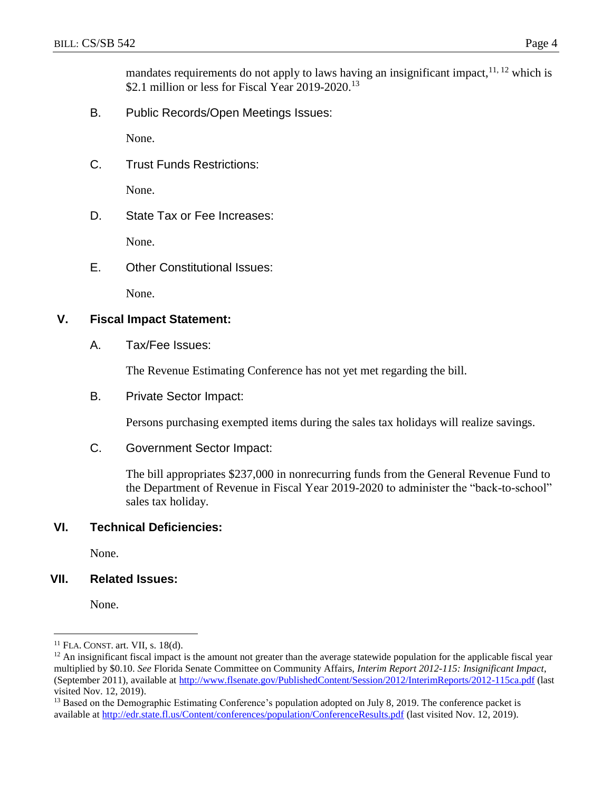mandates requirements do not apply to laws having an insignificant impact,  $11, 12$  which is \$2.1 million or less for Fiscal Year 2019-2020.<sup>13</sup>

B. Public Records/Open Meetings Issues:

None.

C. Trust Funds Restrictions:

None.

D. State Tax or Fee Increases:

None.

E. Other Constitutional Issues:

None.

#### **V. Fiscal Impact Statement:**

A. Tax/Fee Issues:

The Revenue Estimating Conference has not yet met regarding the bill.

B. Private Sector Impact:

Persons purchasing exempted items during the sales tax holidays will realize savings.

C. Government Sector Impact:

The bill appropriates \$237,000 in nonrecurring funds from the General Revenue Fund to the Department of Revenue in Fiscal Year 2019-2020 to administer the "back-to-school" sales tax holiday.

## **VI. Technical Deficiencies:**

None.

## **VII. Related Issues:**

None.

 $\overline{a}$ 

 $11$  FLA. CONST. art. VII, s. 18(d).

 $12$  An insignificant fiscal impact is the amount not greater than the average statewide population for the applicable fiscal year multiplied by \$0.10. *See* Florida Senate Committee on Community Affairs, *Interim Report 2012-115: Insignificant Impact*, (September 2011), available at<http://www.flsenate.gov/PublishedContent/Session/2012/InterimReports/2012-115ca.pdf> (last visited Nov. 12, 2019).

<sup>&</sup>lt;sup>13</sup> Based on the Demographic Estimating Conference's population adopted on July 8, 2019. The conference packet is available at<http://edr.state.fl.us/Content/conferences/population/ConferenceResults.pdf> (last visited Nov. 12, 2019).